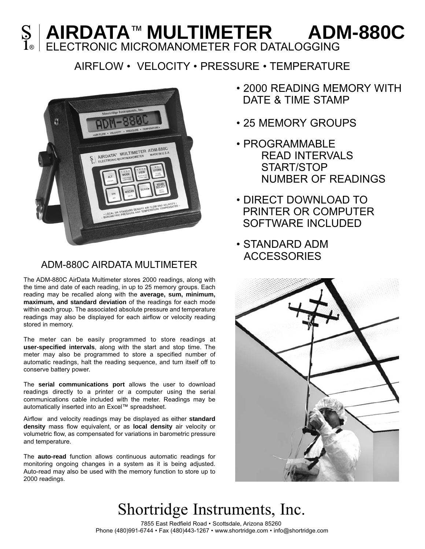## **AIRDATA**™ **MULTIMETER** S **| AIRDATA™ MULTIMETER ADM-880C**<br>1® ELECTRONIC MICROMANOMETER FOR DATALOGGING

## AIRFLOW • VELOCITY • PRESSURE • TEMPERATURE



### ADM-880C AIRDATA MULTIMETER

The ADM-880C AirData Multimeter stores 2000 readings, along with the time and date of each reading, in up to 25 memory groups. Each reading may be recalled along with the **average, sum, minimum, maximum, and standard deviation** of the readings for each mode within each group. The associated absolute pressure and temperature readings may also be displayed for each airflow or velocity reading stored in memory.

The meter can be easily programmed to store readings at **user-specified intervals**, along with the start and stop time. The meter may also be programmed to store a specified number of automatic readings, halt the reading sequence, and turn itself off to conserve battery power.

The **serial communications port** allows the user to download readings directly to a printer or a computer using the serial communications cable included with the meter. Readings may be automatically inserted into an Excel™ spreadsheet.

Airflow and velocity readings may be displayed as either **standard density** mass flow equivalent, or as **local density** air velocity or volumetric flow, as compensated for variations in barometric pressure and temperature.

The **auto-read** function allows continuous automatic readings for monitoring ongoing changes in a system as it is being adjusted. Auto-read may also be used with the memory function to store up to 2000 readings.

- 2000 READING MEMORY WITH DATE & TIME STAMP
- 25 MEMORY GROUPS
- PROGRAMMABLE READ INTERVALS START/STOP NUMBER OF READINGS
- DIRECT DOWNLOAD TO PRINTER OR COMPUTER SOFTWARE INCLUDED
- STANDARD ADM **ACCESSORIES**



# Shortridge Instruments, Inc.

7855 East Redfield Road • Scottsdale, Arizona 85260 Phone (480)991-6744 • Fax (480)443-1267 • www.shortridge.com • info@shortridge.com